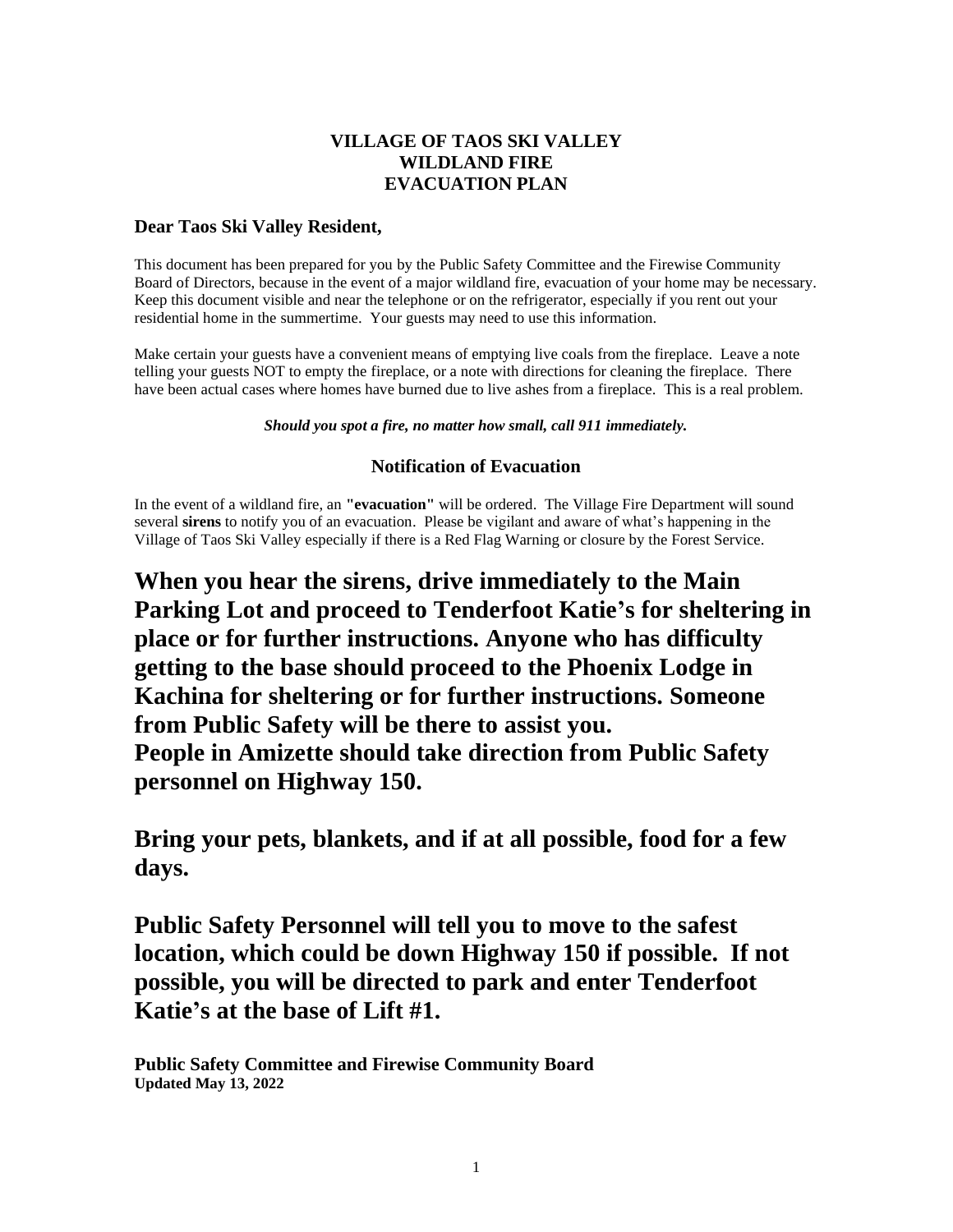# **VILLAGE OF TAOS SKI VALLEY WILDLAND FIRE EVACUATION PLAN**

## **Dear Taos Ski Valley Resident,**

This document has been prepared for you by the Public Safety Committee and the Firewise Community Board of Directors, because in the event of a major wildland fire, evacuation of your home may be necessary. Keep this document visible and near the telephone or on the refrigerator, especially if you rent out your residential home in the summertime. Your guests may need to use this information.

Make certain your guests have a convenient means of emptying live coals from the fireplace. Leave a note telling your guests NOT to empty the fireplace, or a note with directions for cleaning the fireplace. There have been actual cases where homes have burned due to live ashes from a fireplace. This is a real problem.

#### *Should you spot a fire, no matter how small, call 911 immediately.*

## **Notification of Evacuation**

In the event of a wildland fire, an **"evacuation"** will be ordered. The Village Fire Department will sound several **sirens** to notify you of an evacuation. Please be vigilant and aware of what's happening in the Village of Taos Ski Valley especially if there is a Red Flag Warning or closure by the Forest Service.

**When you hear the sirens, drive immediately to the Main Parking Lot and proceed to Tenderfoot Katie's for sheltering in place or for further instructions. Anyone who has difficulty getting to the base should proceed to the Phoenix Lodge in Kachina for sheltering or for further instructions. Someone from Public Safety will be there to assist you. People in Amizette should take direction from Public Safety personnel on Highway 150.**

**Bring your pets, blankets, and if at all possible, food for a few days.**

**Public Safety Personnel will tell you to move to the safest location, which could be down Highway 150 if possible. If not possible, you will be directed to park and enter Tenderfoot Katie's at the base of Lift #1.**

**Public Safety Committee and Firewise Community Board Updated May 13, 2022**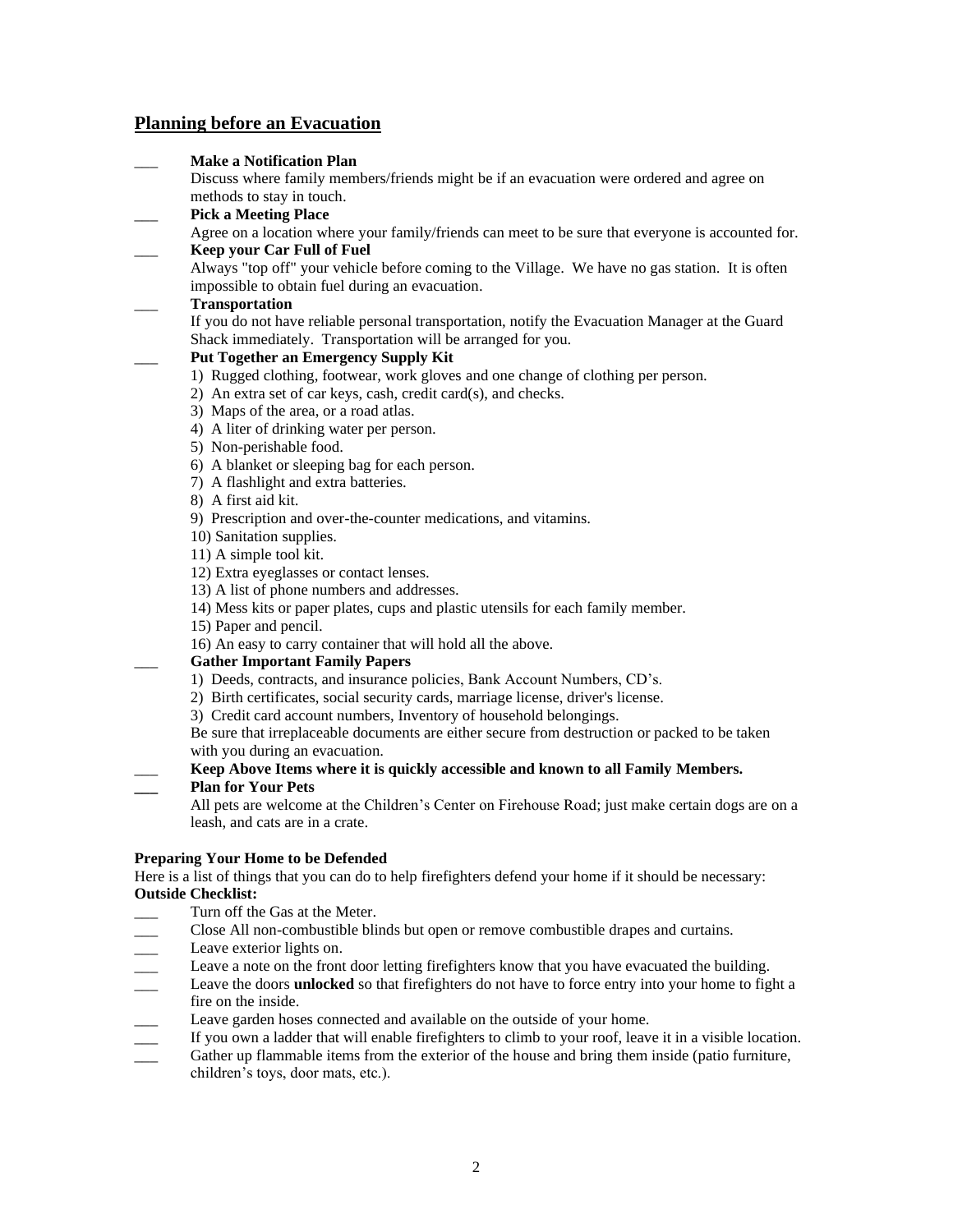## **Planning before an Evacuation**

| <b>Make a Notification Plan</b><br>Discuss where family members/friends might be if an evacuation were ordered and agree on<br>methods to stay in touch.<br><b>Pick a Meeting Place</b><br>Agree on a location where your family/friends can meet to be sure that everyone is accounted for.<br><b>Keep your Car Full of Fuel</b><br>Always "top off" your vehicle before coming to the Village. We have no gas station. It is often<br>impossible to obtain fuel during an evacuation.<br><b>Transportation</b><br>If you do not have reliable personal transportation, notify the Evacuation Manager at the Guard<br>Shack immediately. Transportation will be arranged for you. |
|------------------------------------------------------------------------------------------------------------------------------------------------------------------------------------------------------------------------------------------------------------------------------------------------------------------------------------------------------------------------------------------------------------------------------------------------------------------------------------------------------------------------------------------------------------------------------------------------------------------------------------------------------------------------------------|
|                                                                                                                                                                                                                                                                                                                                                                                                                                                                                                                                                                                                                                                                                    |
|                                                                                                                                                                                                                                                                                                                                                                                                                                                                                                                                                                                                                                                                                    |
|                                                                                                                                                                                                                                                                                                                                                                                                                                                                                                                                                                                                                                                                                    |
|                                                                                                                                                                                                                                                                                                                                                                                                                                                                                                                                                                                                                                                                                    |
|                                                                                                                                                                                                                                                                                                                                                                                                                                                                                                                                                                                                                                                                                    |
|                                                                                                                                                                                                                                                                                                                                                                                                                                                                                                                                                                                                                                                                                    |
|                                                                                                                                                                                                                                                                                                                                                                                                                                                                                                                                                                                                                                                                                    |
|                                                                                                                                                                                                                                                                                                                                                                                                                                                                                                                                                                                                                                                                                    |
|                                                                                                                                                                                                                                                                                                                                                                                                                                                                                                                                                                                                                                                                                    |
| <b>Put Together an Emergency Supply Kit</b>                                                                                                                                                                                                                                                                                                                                                                                                                                                                                                                                                                                                                                        |
| 1) Rugged clothing, footwear, work gloves and one change of clothing per person.                                                                                                                                                                                                                                                                                                                                                                                                                                                                                                                                                                                                   |
| 2) An extra set of car keys, cash, credit card(s), and checks.                                                                                                                                                                                                                                                                                                                                                                                                                                                                                                                                                                                                                     |
| 3) Maps of the area, or a road atlas.                                                                                                                                                                                                                                                                                                                                                                                                                                                                                                                                                                                                                                              |
| 4) A liter of drinking water per person.                                                                                                                                                                                                                                                                                                                                                                                                                                                                                                                                                                                                                                           |
| 5) Non-perishable food.                                                                                                                                                                                                                                                                                                                                                                                                                                                                                                                                                                                                                                                            |
| 6) A blanket or sleeping bag for each person.                                                                                                                                                                                                                                                                                                                                                                                                                                                                                                                                                                                                                                      |
| 7) A flashlight and extra batteries.                                                                                                                                                                                                                                                                                                                                                                                                                                                                                                                                                                                                                                               |
| 8) A first aid kit.                                                                                                                                                                                                                                                                                                                                                                                                                                                                                                                                                                                                                                                                |
| 9) Prescription and over-the-counter medications, and vitamins.                                                                                                                                                                                                                                                                                                                                                                                                                                                                                                                                                                                                                    |
| 10) Sanitation supplies.                                                                                                                                                                                                                                                                                                                                                                                                                                                                                                                                                                                                                                                           |
| 11) A simple tool kit.                                                                                                                                                                                                                                                                                                                                                                                                                                                                                                                                                                                                                                                             |
| 12) Extra eyeglasses or contact lenses.                                                                                                                                                                                                                                                                                                                                                                                                                                                                                                                                                                                                                                            |
| 13) A list of phone numbers and addresses.                                                                                                                                                                                                                                                                                                                                                                                                                                                                                                                                                                                                                                         |
| 14) Mess kits or paper plates, cups and plastic utensils for each family member.                                                                                                                                                                                                                                                                                                                                                                                                                                                                                                                                                                                                   |
| 15) Paper and pencil.                                                                                                                                                                                                                                                                                                                                                                                                                                                                                                                                                                                                                                                              |
| 16) An easy to carry container that will hold all the above.                                                                                                                                                                                                                                                                                                                                                                                                                                                                                                                                                                                                                       |
| <b>Gather Important Family Papers</b>                                                                                                                                                                                                                                                                                                                                                                                                                                                                                                                                                                                                                                              |
| 1) Deeds, contracts, and insurance policies, Bank Account Numbers, CD's.                                                                                                                                                                                                                                                                                                                                                                                                                                                                                                                                                                                                           |
| 2) Birth certificates, social security cards, marriage license, driver's license.                                                                                                                                                                                                                                                                                                                                                                                                                                                                                                                                                                                                  |
| 3) Credit card account numbers, Inventory of household belongings.                                                                                                                                                                                                                                                                                                                                                                                                                                                                                                                                                                                                                 |
| Be sure that irreplaceable documents are either secure from destruction or packed to be taken                                                                                                                                                                                                                                                                                                                                                                                                                                                                                                                                                                                      |
| with you during an evacuation.                                                                                                                                                                                                                                                                                                                                                                                                                                                                                                                                                                                                                                                     |
| Keep Above Items where it is quickly accessible and known to all Family Members.                                                                                                                                                                                                                                                                                                                                                                                                                                                                                                                                                                                                   |
| <b>Plan for Your Pets</b>                                                                                                                                                                                                                                                                                                                                                                                                                                                                                                                                                                                                                                                          |
| All pets are welcome at the Children's Center on Firehouse Road; just make certain dogs are on a                                                                                                                                                                                                                                                                                                                                                                                                                                                                                                                                                                                   |
| leash, and cats are in a crate.                                                                                                                                                                                                                                                                                                                                                                                                                                                                                                                                                                                                                                                    |
| <b>Preparing Your Home to be Defended</b>                                                                                                                                                                                                                                                                                                                                                                                                                                                                                                                                                                                                                                          |

#### Here is a list of things that you can do to help firefighters defend your home if it should be necessary: **Outside Checklist:**

- Turn off the Gas at the Meter.
- Close All non-combustible blinds but open or remove combustible drapes and curtains.
- Leave exterior lights on.
- \_\_\_ Leave a note on the front door letting firefighters know that you have evacuated the building.
- \_\_\_ Leave the doors **unlocked** so that firefighters do not have to force entry into your home to fight a fire on the inside.
- 
- If you own a ladder that will enable firefighters to climb to your roof, leave it in a visible location.
- Leave garden hoses connected and available on the outside of your home.<br>If you own a ladder that will enable firefighters to climb to your roof, leavel<br>Gather up flammable items from the exterior of the house and bring the Gather up flammable items from the exterior of the house and bring them inside (patio furniture, children's toys, door mats, etc.).